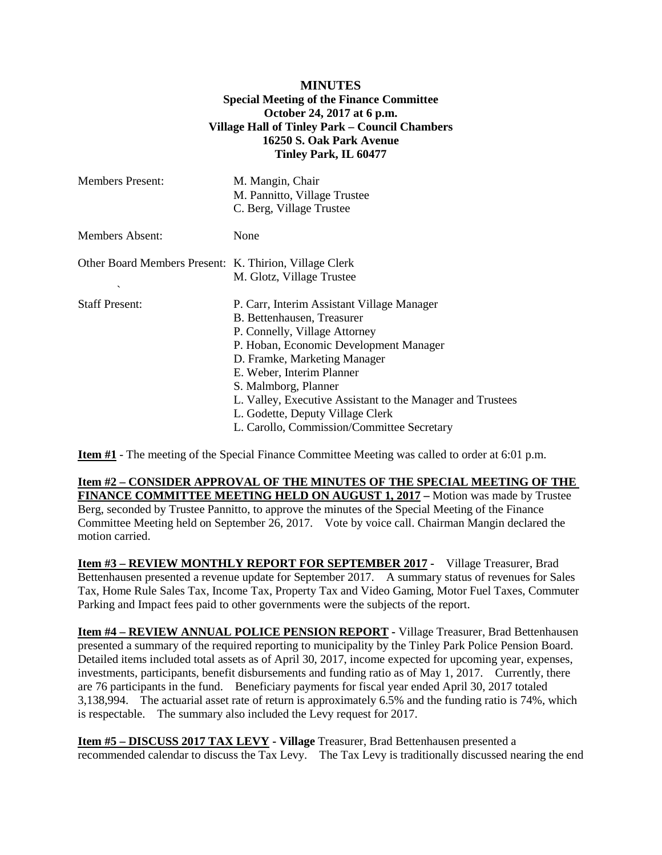## **MINUTES Special Meeting of the Finance Committee October 24, 2017 at 6 p.m. Village Hall of Tinley Park – Council Chambers 16250 S. Oak Park Avenue Tinley Park, IL 60477**

| <b>Members Present:</b>                                | M. Mangin, Chair<br>M. Pannitto, Village Trustee<br>C. Berg, Village Trustee |
|--------------------------------------------------------|------------------------------------------------------------------------------|
| Members Absent:                                        | None                                                                         |
| Other Board Members Present: K. Thirion, Village Clerk | M. Glotz, Village Trustee                                                    |
| $\checkmark$                                           |                                                                              |
| <b>Staff Present:</b>                                  | P. Carr, Interim Assistant Village Manager                                   |
|                                                        | B. Bettenhausen, Treasurer                                                   |
|                                                        | P. Connelly, Village Attorney<br>P. Hoban, Economic Development Manager      |
|                                                        | D. Framke, Marketing Manager                                                 |
|                                                        | E. Weber, Interim Planner                                                    |
|                                                        | S. Malmborg, Planner                                                         |
|                                                        | L. Valley, Executive Assistant to the Manager and Trustees                   |
|                                                        | L. Godette, Deputy Village Clerk                                             |
|                                                        | L. Carollo, Commission/Committee Secretary                                   |

**Item #1** - The meeting of the Special Finance Committee Meeting was called to order at 6:01 p.m.

**Item #2 – CONSIDER APPROVAL OF THE MINUTES OF THE SPECIAL MEETING OF THE FINANCE COMMITTEE MEETING HELD ON AUGUST 1, 2017 –** Motion was made by Trustee Berg, seconded by Trustee Pannitto, to approve the minutes of the Special Meeting of the Finance Committee Meeting held on September 26, 2017. Vote by voice call. Chairman Mangin declared the motion carried.

**Item #3 – REVIEW MONTHLY REPORT FOR SEPTEMBER 2017 -** Village Treasurer, Brad Bettenhausen presented a revenue update for September 2017. A summary status of revenues for Sales Tax, Home Rule Sales Tax, Income Tax, Property Tax and Video Gaming, Motor Fuel Taxes, Commuter Parking and Impact fees paid to other governments were the subjects of the report.

**Item #4 – REVIEW ANNUAL POLICE PENSION REPORT -** Village Treasurer, Brad Bettenhausen presented a summary of the required reporting to municipality by the Tinley Park Police Pension Board. Detailed items included total assets as of April 30, 2017, income expected for upcoming year, expenses, investments, participants, benefit disbursements and funding ratio as of May 1, 2017. Currently, there are 76 participants in the fund. Beneficiary payments for fiscal year ended April 30, 2017 totaled 3,138,994. The actuarial asset rate of return is approximately 6.5% and the funding ratio is 74%, which is respectable. The summary also included the Levy request for 2017.

**Item #5 – DISCUSS 2017 TAX LEVY - Village** Treasurer, Brad Bettenhausen presented a recommended calendar to discuss the Tax Levy. The Tax Levy is traditionally discussed nearing the end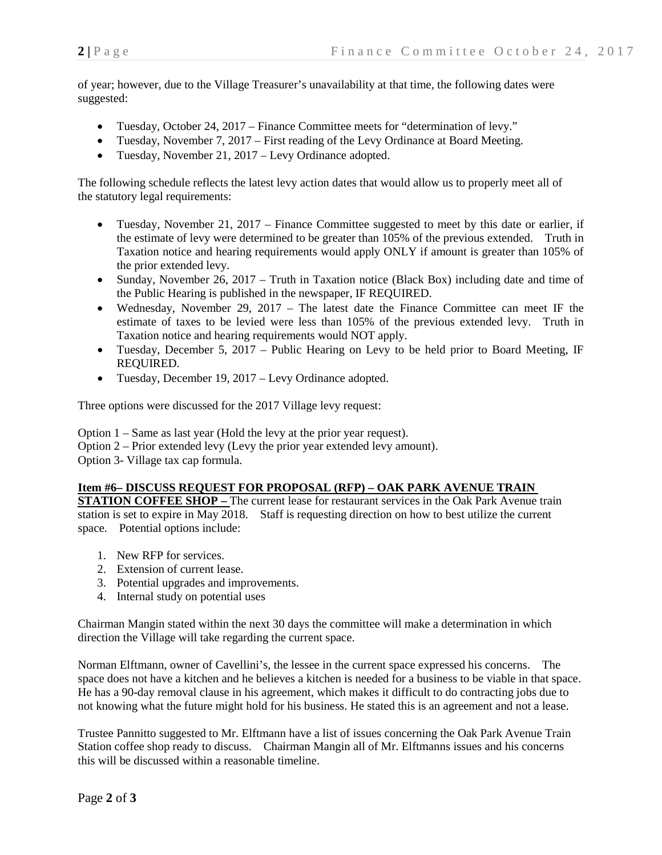of year; however, due to the Village Treasurer's unavailability at that time, the following dates were suggested:

- Tuesday, October 24, 2017 Finance Committee meets for "determination of levy."
- Tuesday, November 7, 2017 First reading of the Levy Ordinance at Board Meeting.
- Tuesday, November 21, 2017 Levy Ordinance adopted.

The following schedule reflects the latest levy action dates that would allow us to properly meet all of the statutory legal requirements:

- Tuesday, November 21, 2017 Finance Committee suggested to meet by this date or earlier, if the estimate of levy were determined to be greater than 105% of the previous extended. Truth in Taxation notice and hearing requirements would apply ONLY if amount is greater than 105% of the prior extended levy.
- Sunday, November 26, 2017 Truth in Taxation notice (Black Box) including date and time of the Public Hearing is published in the newspaper, IF REQUIRED.
- Wednesday, November 29, 2017 The latest date the Finance Committee can meet IF the estimate of taxes to be levied were less than 105% of the previous extended levy. Truth in Taxation notice and hearing requirements would NOT apply.
- Tuesday, December 5, 2017 Public Hearing on Levy to be held prior to Board Meeting, IF REQUIRED.
- Tuesday, December 19, 2017 Levy Ordinance adopted.

Three options were discussed for the 2017 Village levy request:

Option 1 – Same as last year (Hold the levy at the prior year request). Option 2 – Prior extended levy (Levy the prior year extended levy amount). Option 3- Village tax cap formula.

## **Item #6– DISCUSS REQUEST FOR PROPOSAL (RFP) – OAK PARK AVENUE TRAIN**

**STATION COFFEE SHOP –** The current lease for restaurant services in the Oak Park Avenue train station is set to expire in May 2018. Staff is requesting direction on how to best utilize the current space. Potential options include:

- 1. New RFP for services.
- 2. Extension of current lease.
- 3. Potential upgrades and improvements.
- 4. Internal study on potential uses

Chairman Mangin stated within the next 30 days the committee will make a determination in which direction the Village will take regarding the current space.

Norman Elftmann, owner of Cavellini's, the lessee in the current space expressed his concerns. The space does not have a kitchen and he believes a kitchen is needed for a business to be viable in that space. He has a 90-day removal clause in his agreement, which makes it difficult to do contracting jobs due to not knowing what the future might hold for his business. He stated this is an agreement and not a lease.

Trustee Pannitto suggested to Mr. Elftmann have a list of issues concerning the Oak Park Avenue Train Station coffee shop ready to discuss. Chairman Mangin all of Mr. Elftmanns issues and his concerns this will be discussed within a reasonable timeline.